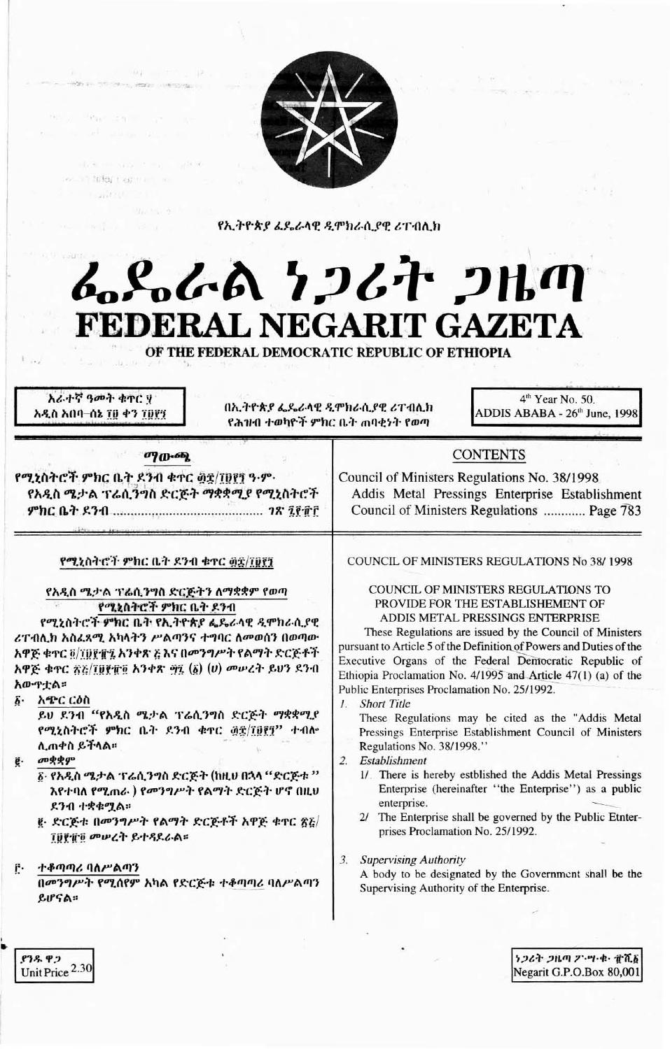

የኢትዮጵያ ፈዴራላዊ ዲሞክራሲያዊ ሪፐብሊክ

# んとんよ クンムヤ つルの FEDERAL NEGARIT GAZETA

OF THE FEDERAL DEMOCRATIC REPUBLIC OF ETHIOPIA

አራተኛ ዓመት ቁጥር ሃ አዲስ አበባ–ሰኔ ፲፱ ቀን ፲፱፻፺

በኢትዮጵያ ፌዴራላዊ ዲሞክራሲያዊ ሪፐብሊክ የሕዝብ ተወካዮች ምክር ቤት ጠባቂነት የወጣ

4<sup>th</sup> Year No. 50. ADDIS ABABA - 26<sup>th</sup> June, 1998

## $090 - 66$

**CONTRACTOR** 

 $-9a - 5c - 9$ 

re dege on a

we in filef that the con-**Controller** 

የሚኒስትሮች ምክር ቤት ደንብ ቁተር ፴፰/፲፱፻፺ ዓ.ም. የአዲስ ሜታል ፕሬሲንግስ ድርጅት ማቋቋሚያ የሚኒስትሮች 

## የሚኒስትሮች ምክር ቤት ዶንብ ቁተር ፴፰/፲፱፻፺

## የአዲስ ሜታል ፕሬሲንግስ ድርጅትን ለማቋቋም የወጣ የሚኒስትሮች ምክር ቤት ደንብ

የሚኒስትሮች ምክር ቤት የኢትዮጵያ ፌዴራላዊ ዲሞክራሲያዊ ሪፐብሊክ አስፈጻሚ አካላትን ሥልጣንና ተግባር ለመወሰን በወጣው አዋጅ ቁጥር ፬/፲፱፻፹፯ አንቀጽ ጅእና በመንግሥት የልማት ድርጅቶች አዋጅ ቁጥር ፳፩/፲፱፻፹፬ አንቀጽ ፵፯ (፩) (ሀ) መሠረት ይህን ደንብ አውዋቷል።

አጭር ርዕስ δ.

ይህ ደንብ "የአዲስ ሜታል ፕሬሲንግስ ድርጅት ማቋቋሚያ የሚኒስትሮች ምክር ቤት ደንብ ቁዋር ፴፰/፲፱፻፺" ተብሎ ሊጠቀስ ይችላል።

## መቋቋም

δ· የአዲስ ሜታል ፕሬሲንግስ ድርጅት (ከዚህ በኋላ "ድርጅቱ " እየተባለ የሚጠራ ) የመንግሥት የልማት ድርጅት ሆኖ በዚህ ደንብ ተቋቁሚል።

ë· ድርጅቱ በመንግሥት የልማት ድርጅቶች አዋጅ ቁዋር ፳፩/ **TDPTD መሠረት ይተዳደራል።** 

#### ተቆጣጣሪ ባለሥልጣን r.

በመንግሥት የሚሰየም አካል የድርጅቱ ተቆጣጣሪ ባለሥልጣን ይሆናል።

COUNCIL OF MINISTERS REGULATIONS No 38/1998

**CONTENTS** 

Addis Metal Pressings Enterprise Establishment

Council of Ministers Regulations ............ Page 783

Council of Ministers Regulations No. 38/1998

## COUNCIL OF MINISTERS REGULATIONS TO PROVIDE FOR THE ESTABLISHEMENT OF ADDIS METAL PRESSINGS ENTERPRISE

These Regulations are issued by the Council of Ministers pursuant to Article 5 of the Definition of Powers and Duties of the Executive Organs of the Federal Democratic Republic of Ethiopia Proclamation No. 4/1995 and Article 47(1) (a) of the Public Enterprises Proclamation No. 25/1992.

1. Short Title

These Regulations may be cited as the "Addis Metal Pressings Enterprise Establishment Council of Ministers Regulations No. 38/1998."

- 2. Establishment
	- 1/ There is hereby estblished the Addis Metal Pressings Enterprise (hereinafter "the Enterprise") as a public enterprise.
	- 2/ The Enterprise shall be governed by the Public Etnterprises Proclamation No. 25/1992.

3. Supervising Authority

A body to be designated by the Government shall be the Supervising Authority of the Enterprise.